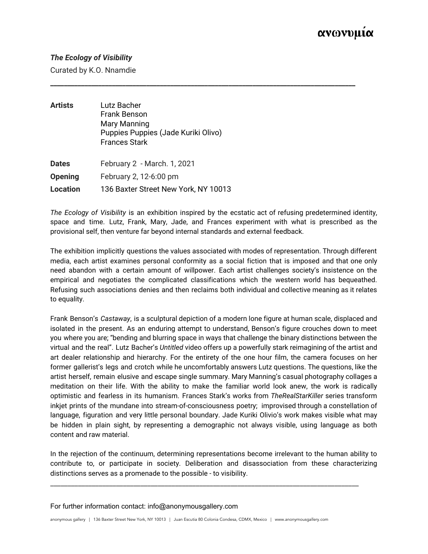## *The Ecology of Visibility*

Curated by K.O. Nnamdie

| <b>Artists</b>  | Lutz Bacher<br>Frank Benson<br>Mary Manning<br>Puppies Puppies (Jade Kuriki Olivo)<br><b>Frances Stark</b> |
|-----------------|------------------------------------------------------------------------------------------------------------|
| <b>Dates</b>    | February 2 - March. 1, 2021                                                                                |
| <b>Opening</b>  | February 2, 12-6:00 pm                                                                                     |
| <b>Location</b> | 136 Baxter Street New York, NY 10013                                                                       |

*The Ecology of Visibility* is an exhibition inspired by the ecstatic act of refusing predetermined identity, space and time. Lutz, Frank, Mary, Jade, and Frances experiment with what is prescribed as the provisional self, then venture far beyond internal standards and external feedback.

**\_\_\_\_\_\_\_\_\_\_\_\_\_\_\_\_\_\_\_\_\_\_\_\_\_\_\_\_\_\_\_\_\_\_\_\_\_\_\_\_\_\_\_\_\_\_\_\_\_\_\_\_\_\_\_\_\_\_\_\_\_\_\_\_\_\_\_\_\_\_\_\_\_\_\_\_\_\_\_\_\_\_\_\_\_\_\_\_\_**

The exhibition implicitly questions the values associated with modes of representation. Through different media, each artist examines personal conformity as a social fiction that is imposed and that one only need abandon with a certain amount of willpower. Each artist challenges society's insistence on the empirical and negotiates the complicated classifications which the western world has bequeathed. Refusing such associations denies and then reclaims both individual and collective meaning as it relates to equality.

Frank Benson's *Castaway*, is a sculptural depiction of a modern lone figure at human scale, displaced and isolated in the present. As an enduring attempt to understand, Benson's figure crouches down to meet you where you are; "bending and blurring space in ways that challenge the binary distinctions between the virtual and the real". Lutz Bacher's *Untitled* video offers up a powerfully stark reimagining of the artist and art dealer relationship and hierarchy. For the entirety of the one hour film, the camera focuses on her former gallerist's legs and crotch while he uncomfortably answers Lutz questions. The questions, like the artist herself, remain elusive and escape single summary. Mary Manning's casual photography collages a meditation on their life. With the ability to make the familiar world look anew, the work is radically optimistic and fearless in its humanism. Frances Stark's works from *TheRealStarKiller* series transform inkjet prints of the mundane into stream-of-consciousness poetry; improvised through a constellation of language, figuration and very little personal boundary. Jade Kuriki Olivio's work makes visible what may be hidden in plain sight, by representing a demographic not always visible, using language as both content and raw material.

In the rejection of the continuum, determining representations become irrelevant to the human ability to contribute to, or participate in society. Deliberation and disassociation from these characterizing distinctions serves as a promenade to the possible - to visibility.

\_\_\_\_\_\_\_\_\_\_\_\_\_\_\_\_\_\_\_\_\_\_\_\_\_\_\_\_\_\_\_\_\_\_\_\_\_\_\_\_\_\_\_\_\_\_\_\_\_\_\_\_\_\_\_\_\_\_\_\_\_\_\_\_\_\_\_\_\_\_\_\_\_\_\_\_\_\_\_\_\_\_\_\_\_\_\_\_\_

For further information contact: info@anonymousgallery.com

anonymous gallery | 136 Baxter Street New York, NY 10013 | Juan Escutia 80 Colonia Condesa, CDMX, Mexico | www.anonymousgallery.com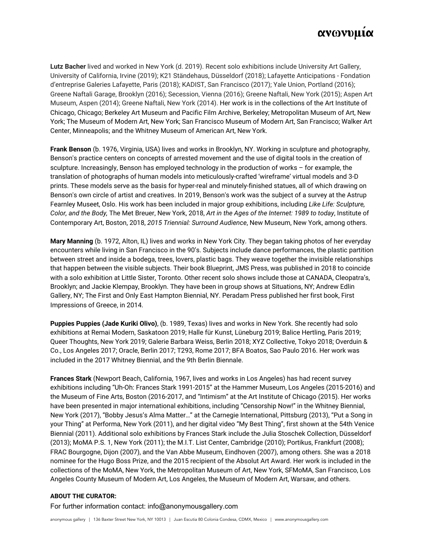# ανωνυμία

**Lutz Bacher** lived and worked in New York (d. 2019). Recent solo exhibitions include University Art Gallery, University of California, Irvine (2019); K21 Ständehaus, Düsseldorf (2018); Lafayette Anticipations - Fondation d'entreprise Galeries Lafayette, Paris (2018); KADIST, San Francisco (2017); Yale Union, Portland (2016); Greene Naftali Garage, Brooklyn (2016); Secession, Vienna (2016); Greene Naftali, New York (2015); Aspen Art Museum, Aspen (2014); Greene Naftali, New York (2014). Her work is in the collections of the Art Institute of Chicago, Chicago; Berkeley Art Museum and Pacific Film Archive, Berkeley; Metropolitan Museum of Art, New York; The Museum of Modern Art, New York; San Francisco Museum of Modern Art, San Francisco; Walker Art Center, Minneapolis; and the Whitney Museum of American Art, New York.

**Frank Benson** (b. 1976, Virginia, USA) lives and works in Brooklyn, NY. Working in sculpture and photography, Benson's practice centers on concepts of arrested movement and the use of digital tools in the creation of sculpture. Increasingly, Benson has employed technology in the production of works – for example, the translation of photographs of human models into meticulously-crafted 'wireframe' virtual models and 3-D prints. These models serve as the basis for hyper-real and minutely-finished statues, all of which drawing on Benson's own circle of artist and creatives. In 2019, Benson's work was the subject of a survey at the Astrup Fearnley Museet, Oslo. His work has been included in major group exhibitions, including *Like Life: Sculpture, Color, and the Body,* The Met Breuer, New York, 2018, *Art in the Ages of the Internet: 1989 to today*, Institute of Contemporary Art, Boston, 2018, *2015 Triennial: Surround Audience*, New Museum, New York, among others.

**Mary Manning** (b. 1972, Alton, IL) lives and works in New York City. They began taking photos of her everyday encounters while living in San Francisco in the 90's. Subjects include dance performances, the plastic partition between street and inside a bodega, trees, lovers, plastic bags. They weave together the invisible relationships that happen between the visible subjects. Their book Blueprint, JMS Press, was published in 2018 to coincide with a solo exhibition at Little Sister, Toronto. Other recent solo shows include those at CANADA, Cleopatra's, Brooklyn; and Jackie Klempay, Brooklyn. They have been in group shows at Situations, NY; Andrew Edlin Gallery, NY; The First and Only East Hampton Biennial, NY. Peradam Press published her first book, First Impressions of Greece, in 2014.

**Puppies Puppies (Jade Kuriki Olivo)**, (b. 1989, Texas) lives and works in New York. She recently had solo exhibitions at Remai Modern, Saskatoon 2019; Halle für Kunst, Lüneburg 2019; Balice Hertling, Paris 2019; Queer Thoughts, New York 2019; Galerie Barbara Weiss, Berlin 2018; XYZ Collective, Tokyo 2018; Overduin & Co., Los Angeles 2017; Oracle, Berlin 2017; T293, Rome 2017; BFA Boatos, Sao Paulo 2016. Her work was included in the 2017 Whitney Biennial, and the 9th Berlin Biennale.

**Frances Stark** (Newport Beach, California, 1967, lives and works in Los Angeles) has had recent survey exhibitions including "Uh-Oh: Frances Stark 1991-2015" at the Hammer Museum, Los Angeles (2015-2016) and the Museum of Fine Arts, Boston (2016-2017, and "Intimism" at the Art Institute of Chicago (2015). Her works have been presented in major international exhibitions, including "Censorship Now!" in the Whitney Biennial, New York (2017), "Bobby Jesus's Alma Matter…" at the Carnegie International, Pittsburg (2013), "Put a Song in your Thing" at Performa, New York (2011), and her digital video "My Best Thing", first shown at the 54th Venice Biennial (2011). Additional solo exhibitions by Frances Stark include the Julia Stoschek Collection, Düsseldorf (2013); MoMA P.S. 1, New York (2011); the M.I.T. List Center, Cambridge (2010); Portikus, Frankfurt (2008); FRAC Bourgogne, Dijon (2007), and the Van Abbe Museum, Eindhoven (2007), among others. She was a 2018 nominee for the Hugo Boss Prize, and the 2015 recipient of the Absolut Art Award. Her work is included in the collections of the MoMA, New York, the Metropolitan Museum of Art, New York, SFMoMA, San Francisco, Los Angeles County Museum of Modern Art, Los Angeles, the Museum of Modern Art, Warsaw, and others.

### **ABOUT THE CURATOR:**

For further information contact: info@anonymousgallery.com